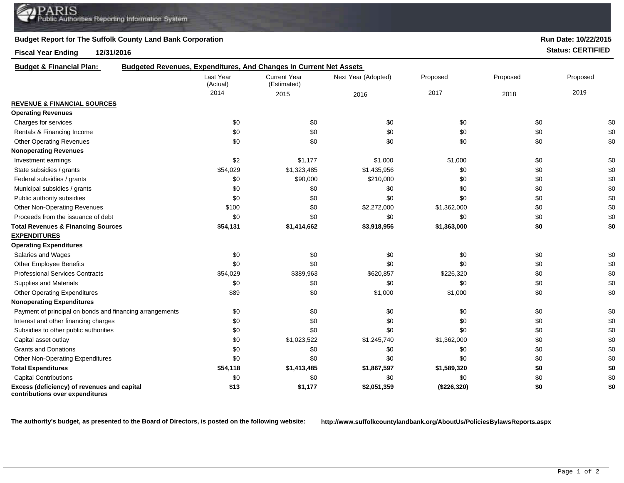## **Budget Report for The Suffolk County Land Bank Corporation**

**Fiscal Year Ending 12/31/2016 Status: CERTIFIED**

| <b>Budget &amp; Financial Plan:</b>                                            | Budgeted Revenues, Expenditures, And Changes In Current Net Assets |                                    |                     |             |          |          |
|--------------------------------------------------------------------------------|--------------------------------------------------------------------|------------------------------------|---------------------|-------------|----------|----------|
|                                                                                | Last Year<br>(Actual)                                              | <b>Current Year</b><br>(Estimated) | Next Year (Adopted) | Proposed    | Proposed | Proposed |
|                                                                                | 2014                                                               | 2015                               | 2016                | 2017        | 2018     | 2019     |
| <b>REVENUE &amp; FINANCIAL SOURCES</b>                                         |                                                                    |                                    |                     |             |          |          |
| <b>Operating Revenues</b>                                                      |                                                                    |                                    |                     |             |          |          |
| Charges for services                                                           | \$0                                                                | \$0                                | \$0                 | \$0         | \$0      | \$0      |
| Rentals & Financing Income                                                     | \$0                                                                | \$0                                | \$0                 | \$0         | \$0      | \$0      |
| <b>Other Operating Revenues</b>                                                | \$0                                                                | \$0                                | \$0                 | \$0         | \$0      | \$0      |
| <b>Nonoperating Revenues</b>                                                   |                                                                    |                                    |                     |             |          |          |
| Investment earnings                                                            | \$2                                                                | \$1,177                            | \$1,000             | \$1,000     | \$0      | \$0      |
| State subsidies / grants                                                       | \$54,029                                                           | \$1,323,485                        | \$1,435,956         | \$0         | \$0      | \$0      |
| Federal subsidies / grants                                                     | \$0                                                                | \$90,000                           | \$210,000           | \$0         | \$0      | \$0      |
| Municipal subsidies / grants                                                   | \$0                                                                | \$0                                | \$0                 | \$0         | \$0      | \$0      |
| Public authority subsidies                                                     | \$0                                                                | \$0                                | \$0                 | \$0         | \$0      | \$0      |
| <b>Other Non-Operating Revenues</b>                                            | \$100                                                              | \$0                                | \$2,272,000         | \$1,362,000 | \$0      | \$0      |
| Proceeds from the issuance of debt                                             | \$0                                                                | \$0                                | \$0                 | \$0         | \$0      | \$0      |
| <b>Total Revenues &amp; Financing Sources</b>                                  | \$54,131                                                           | \$1,414,662                        | \$3,918,956         | \$1,363,000 | \$0      | \$0      |
| <b>EXPENDITURES</b>                                                            |                                                                    |                                    |                     |             |          |          |
| <b>Operating Expenditures</b>                                                  |                                                                    |                                    |                     |             |          |          |
| Salaries and Wages                                                             | \$0                                                                | \$0                                | \$0                 | \$0         | \$0      | \$0      |
| <b>Other Employee Benefits</b>                                                 | \$0                                                                | \$0                                | \$0                 | \$0         | \$0      | \$0      |
| <b>Professional Services Contracts</b>                                         | \$54,029                                                           | \$389,963                          | \$620,857           | \$226,320   | \$0      | \$0      |
| Supplies and Materials                                                         | \$0                                                                | \$0                                | \$0                 | \$0         | \$0      | \$0      |
| <b>Other Operating Expenditures</b>                                            | \$89                                                               | \$0                                | \$1,000             | \$1,000     | \$0      | \$0      |
| <b>Nonoperating Expenditures</b>                                               |                                                                    |                                    |                     |             |          |          |
| Payment of principal on bonds and financing arrangements                       | \$0                                                                | \$0                                | \$0                 | \$0         | \$0      | \$0      |
| Interest and other financing charges                                           | \$0                                                                | \$0                                | \$0                 | \$0         | \$0      | \$0      |
| Subsidies to other public authorities                                          | \$0                                                                | \$0                                | \$0                 | \$0         | \$0      | \$0      |
| Capital asset outlay                                                           | \$0                                                                | \$1,023,522                        | \$1,245,740         | \$1,362,000 | \$0      | \$0      |
| <b>Grants and Donations</b>                                                    | \$0                                                                | \$0                                | \$0                 | \$0         | \$0      | \$0      |
| <b>Other Non-Operating Expenditures</b>                                        | \$0                                                                | \$0                                | \$0                 | \$0         | \$0      | \$0      |
| <b>Total Expenditures</b>                                                      | \$54,118                                                           | \$1,413,485                        | \$1,867,597         | \$1,589,320 | \$0      | \$0      |
| <b>Capital Contributions</b>                                                   | \$0                                                                | \$0                                | \$0                 | \$0         | \$0      | \$0      |
| Excess (deficiency) of revenues and capital<br>contributions over expenditures | \$13                                                               | \$1,177                            | \$2,051,359         | (\$226,320) | \$0      | \$0      |

**The authority's budget, as presented to the Board of Directors, is posted on the following website: http://www.suffolkcountylandbank.org/AboutUs/PoliciesBylawsReports.aspx**